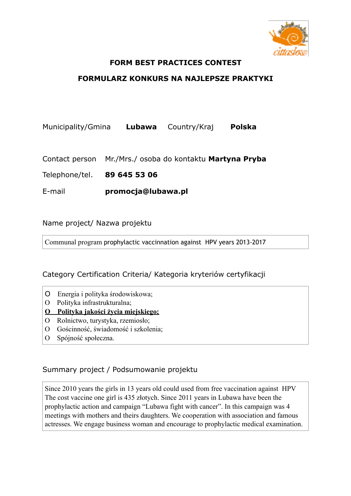

#### **FORM BEST PRACTICES CONTEST**

### **FORMULARZ KONKURS NA NAJLEPSZE PRAKTYKI**

Municipality/Gmina **Lubawa** Country/Kraj **Polska** 

Contact person Mr./Mrs./ osoba do kontaktu **Martyna Pryba** 

Telephone/tel. **89 645 53 06** 

E-mail **promocja@lubawa.pl** 

Name project/ Nazwa projektu

Communal program prophylactic vaccinnation against HPV years 2013-2017

#### Category Certification Criteria/ Kategoria kryteriów certyfikacji

- O Energia i polityka środowiskowa;
- O Polityka infrastrukturalna;

#### **O Polityka jakości życia miejskiego;**

- O Rolnictwo, turystyka, rzemiosło;
- O Gościnność, świadomość i szkolenia;
- O Spójność społeczna.

# Summary project / Podsumowanie projektu

Since 2010 years the girls in 13 years old could used from free vaccination against HPV The cost vaccine one girl is 435 złotych. Since 2011 years in Lubawa have been the prophylactic action and campaign "Lubawa fight with cancer". In this campaign was 4 meetings with mothers and theirs daughters. We cooperation with association and famous actresses. We engage business woman and encourage to prophylactic medical examination.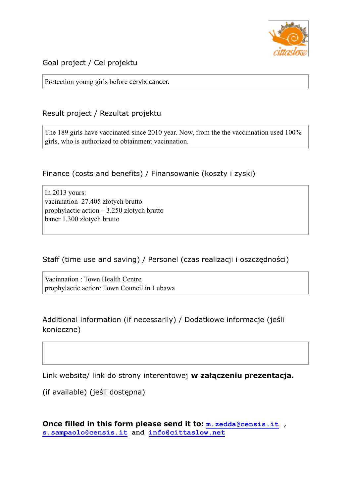

Goal project / Cel projektu

Protection young girls before cervix cancer.

# Result project / Rezultat projektu

The 189 girls have vaccinated since 2010 year. Now, from the the vaccinnation used 100% girls, who is authorized to obtainment vacinnation.

# Finance (costs and benefits) / Finansowanie (koszty i zyski)

In 2013 yours: vacinnation 27.405 złotych brutto prophylactic action – 3.250 złotych brutto baner 1.300 złotych brutto

Staff (time use and saving) / Personel (czas realizacji i oszczędności)

Vacinnation : Town Health Centre prophylactic action: Town Council in Lubawa

Additional information (if necessarily) / Dodatkowe informacje (jeśli konieczne)

Link website/ link do strony interentowej **w załączeniu prezentacja.** 

(if available) (jeśli dostępna)

**Once filled in this form please send it to: [m.zedda@censis.it](mailto:m.zedda@censis.it) , [s.sampaolo@censis.it](mailto:s.sampaolo@censis.it) and [info@cittaslow.net](mailto:info@cittaslow.net)**